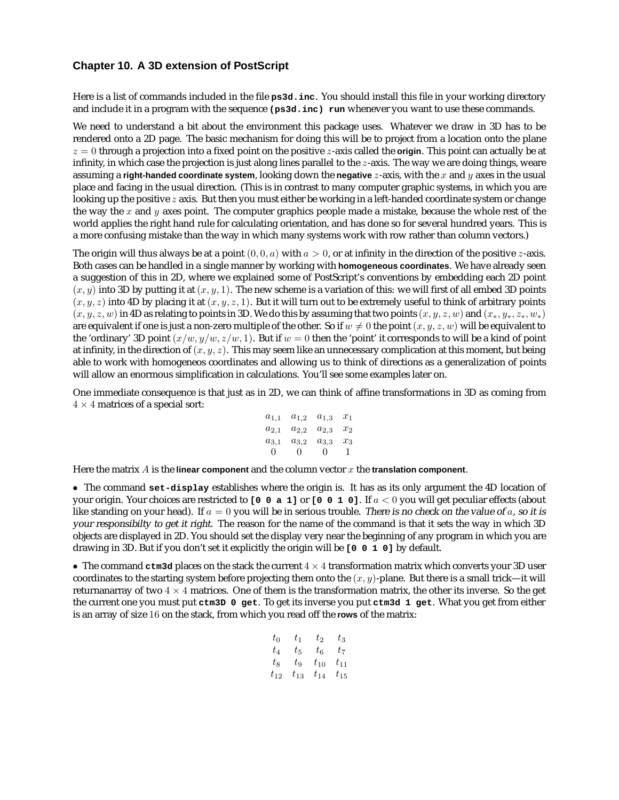## **Chapter 10. A 3D extension of PostScript**

Here is a list of commands included in the file **ps3d.inc**. You should install this file in your working directory and include it in a program with the sequence **(ps3d.inc) run** whenever you want to use these commands.

We need to understand a bit about the environment this package uses. Whatever we draw in 3D has to be rendered onto a 2D page. The basic mechanism for doing this will be to project from a location onto the plane  $z = 0$  through a projection into a fixed point on the positive  $z$ -axis called the **origin**. This point can actually be at infinity, in which case the projection is just along lines parallel to the  $z$ -axis. The way we are doing things, weare assuming a **right-handed coordinate system**, looking down the **negative** z-axis, with the x and y axes in the usual place and facing in the usual direction. (This is in contrast to many computer graphic systems, in which you are looking up the positive  $z$  axis. But then you must either be working in a left-handed coordinate system or change the way the x and y axes point. The computer graphics people made a mistake, because the whole rest of the world applies the right hand rule for calculating orientation, and has done so for several hundred years. This is a more confusing mistake than the way in which many systems work with row rather than column vectors.)

The origin will thus always be at a point  $(0, 0, a)$  with  $a > 0$ , or at infinity in the direction of the positive *z*-axis. Both cases can be handled in a single manner by working with **homogeneous coordinates**. We have already seen a suggestion of this in 2D, where we explained some of PostScript's conventions by embedding each 2D point  $(x, y)$  into 3D by putting it at  $(x, y, 1)$ . The new scheme is a variation of this: we will first of all embed 3D points  $(x, y, z)$  into 4D by placing it at  $(x, y, z, 1)$ . But it will turn out to be extremely useful to think of arbitrary points  $(x, y, z, w)$  in 4D as relating to points in 3D. We do this by assuming that two points  $(x, y, z, w)$  and  $(x_*, y_*, z_*, w_*)$ are equivalent if one is just a non-zero multiple of the other. So if  $w \neq 0$  the point  $(x, y, z, w)$  will be equivalent to the 'ordinary' 3D point  $(x/w, y/w, z/w, 1)$ . But if  $w = 0$  then the 'point' it corresponds to will be a kind of point at infinity, in the direction of  $(x, y, z)$ . This may seem like an unnecessary complication at this moment, but being able to work with homogeneos coordinates and allowing us to think of directions as a generalization of points will allow an enormous simplification in calculations. You'll see some examples later on.

One immediate consequence is that just as in 2D, we can think of affine transformations in 3D as coming from  $4 \times 4$  matrices of a special sort:

> $a_{1,1}$   $a_{1,2}$   $a_{1,3}$   $x_1$  $a_{2,1}$   $a_{2,2}$   $a_{2,3}$   $x_2$  $a_{3,1}$   $a_{3,2}$   $a_{3,3}$   $x_3$ 0 0 01

Here the matrix  $\vec{A}$  is the **linear component** and the column vector  $x$  the **translation component**.

• The command **set-display** establishes where the origin is. It has as its only argument the 4D location of your origin. Your choices are restricted to  $\lceil 0 \rceil 0$  a 1] or  $\lceil 0 \rceil 0 \rceil 1$  o]. If  $a < 0$  you will get peculiar effects (about like standing on your head). If  $a = 0$  you will be in serious trouble. There is no check on the value of a, so it is your responsibilty to get it right. The reason for the name of the command is that it sets the way in which 3D objects are displayed in 2D. You should set the display very near the beginning of any program in which you are drawing in 3D. But if you don't set it explicitly the origin will be **[0 0 1 0]** by default.

• The command **ctm3d** places on the stack the current 4 × 4 transformation matrix which converts your 3D user coordinates to the starting system before projecting them onto the  $(x, y)$ -plane. But there is a small trick—it will returnanarray of two  $4 \times 4$  matrices. One of them is the transformation matrix, the other its inverse. So the get the current one you must put **ctm3D 0 get**. To get its inverse you put **ctm3d 1 get**. What you get from either is an array of size 16 on the stack, from which you read off the **rows** of the matrix:

$$
\begin{matrix} t_0 & t_1 & t_2 & t_3 \\ t_4 & t_5 & t_6 & t_7 \\ t_8 & t_9 & t_{10} & t_{11} \\ t_{12} & t_{13} & t_{14} & t_{15} \end{matrix}
$$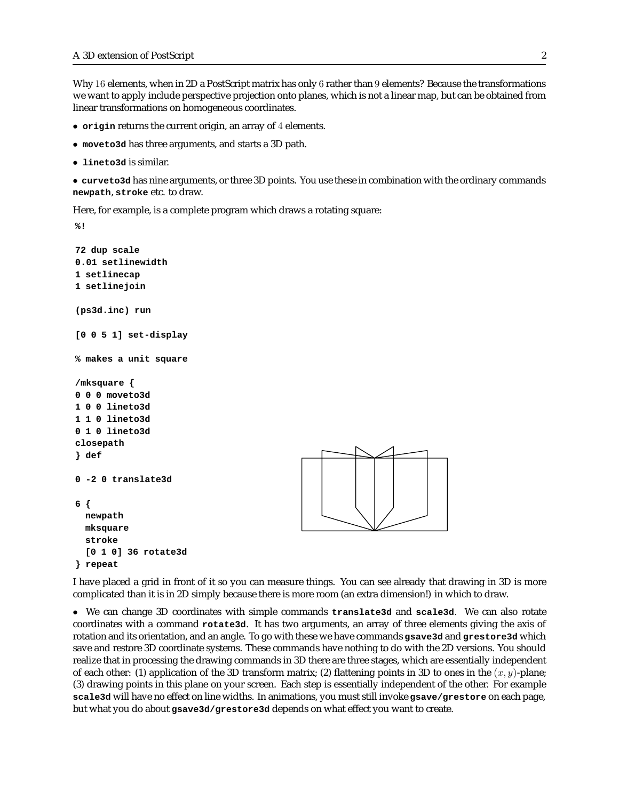Why 16 elements, when in 2D a PostScript matrix has only 6 rather than 9 elements? Because the transformations we want to apply include perspective projection onto planes, which is not a linear map, but can be obtained from linear transformations on homogeneous coordinates.

- **origin** returns the current origin, an array of 4 elements.
- **moveto3d** has three arguments, and starts a 3D path.
- **lineto3d** is similar.

• **curveto3d** has nine arguments, or three 3D points. You use these in combination with the ordinary commands **newpath**, **stroke** etc. to draw.

Here, for example, is a complete program which draws a rotating square:

**%!**

```
72 dup scale
0.01 setlinewidth
1 setlinecap
1 setlinejoin
(ps3d.inc) run
[0 0 5 1] set-display
% makes a unit square
/mksquare {
0 0 0 moveto3d
1 0 0 lineto3d
1 1 0 lineto3d
0 1 0 lineto3d
closepath
} def
0 -2 0 translate3d
6 {
 newpath
 mksquare
 stroke
 [0 1 0] 36 rotate3d
} repeat
```


I have placed a grid in front of it so you can measure things. You can see already that drawing in 3D is more complicated than it is in 2D simply because there is more room (an extra dimension!) in which to draw.

• We can change 3D coordinates with simple commands **translate3d** and **scale3d**. We can also rotate coordinates with a command **rotate3d**. It has two arguments, an array of three elements giving the axis of rotation and its orientation, and an angle. To go with these we have commands **gsave3d** and **grestore3d** which save and restore 3D coordinate systems. These commands have nothing to do with the 2D versions. You should realize that in processing the drawing commands in 3D there are three stages, which are essentially independent of each other: (1) application of the 3D transform matrix; (2) flattening points in 3D to ones in the  $(x, y)$ -plane; (3) drawing points in this plane on your screen. Each step is essentially independent of the other. For example **scale3d** will have no effect on line widths. In animations, you must still invoke **gsave/grestore** on each page, but what you do about **gsave3d/grestore3d** depends on what effect you want to create.